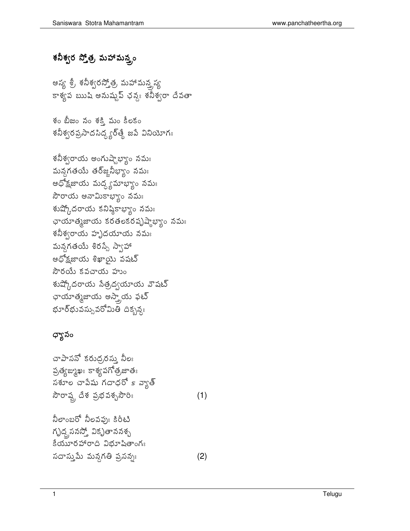## శనీశ్వర స్త్రోత్త, మహామన్త్రం

అస్య శ్రీ శనీశ్వరస్తోత్ర మహామన్త్రస్య కాశ్యప ఋషి అనుష్టప్ ఛన్యః శనీశ్వరా దేవతా

శం బీజం నం శక్తి మం కీలకం శనీశ్వరప్రసాదసిద్ధ్యర్తే జపే వినియోగః

శనీశ్వరాయ అంగుష్టాభ్యాం నమః మన్దగతయే తర్జ్జోనీభ్యాం నమః అధోక్షజాయ మద్ద్యమాభ్యాం నమః సౌరాయ అనామికాభ్యాం నమః శుష్కోదరాయ కనిష్ఠికాభ్యాం నమః ఛాయాత్మజాయ కరతలకరపృష్ణాభ్యం నమః శనీశ్వరాయ హృదయాయ నమః మన్గతయే శిరస్సే స్వాహా అధోక్షజాయ శిఖాయై వషట్ సౌరయే కవచాయ హుం శుష్కోదరాయ సేత్రద్వయాయ వౌషట్ ఛాయాత్మజాయ అస్త్రాయ ఫట్ భూర్భువస్సువరోమితి దికృశ్యః

## ధ్యానం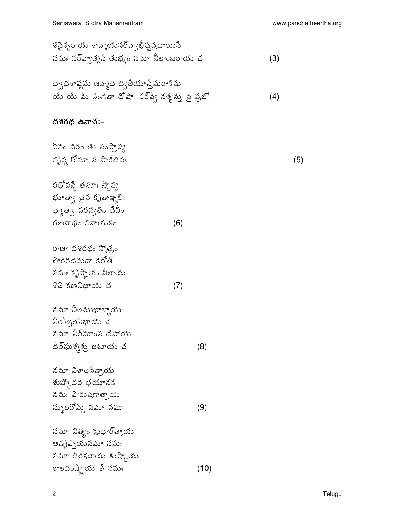$(5)$ 

| శసైశ్చరాయ శాన్తాయసర్వ్యాభీష్టప్రదాయిసే<br>నమః సర్వ్వాత్మసే తుభ్యం నమో నీలాంబరాయ చ                  |     |      | (3) |
|----------------------------------------------------------------------------------------------------|-----|------|-----|
| ద్వాదశాష్టమ జన్మాది ద్వితీయాస్తేషురాశిషు<br>యే యే మే సంగతా దోషాః సర్వ్వే నశ్యన్ను పై ప్రభోః        |     |      | (4) |
| దశరథ ఉవాచ:–                                                                                        |     |      |     |
| ఏవం వరం తు సంప్రాష్య<br>వృష్ణ రోమా స పార్థివః                                                      |     |      |     |
| రథోపస్తే తమాః స్థాప్య<br>భూత్వా చైవ కృతాఞ్మరిః<br>ధ్యాత్వా సరస్వతిం దేవీం<br>గణనాథం వినాయకం        | (6) |      |     |
| రాజా దశరథః స్తోత్రం<br>సౌరేరిదమదా కరోత్<br>నమః కృష్ణాయ నిలాయ<br>శితి కణ్ణనిభాయ చ                   | (7) |      |     |
| నమో నీలముఖాబ్తాయ<br>నీలోల్పలనిభాయ చ<br>నమో నీర్మాంస దేహాయ<br>దీర్ఘశృశ్రు, జటాయ చ                   |     | (8)  |     |
| నమో విశాలసేత్రాయ<br>శుష్కోదర భయానక<br>నమః పౌరుషగాత్రాయ<br>స్థూలరోమ్లే నమో నమః                      |     | (9)  |     |
| నమో నిత్యం క్షుధార్త్తాయ<br>అతృప్తాయనమో నమః<br>నమో దీర్ <b>ఘా</b> య శుష్కాయ<br>కాలదంష్ట్రేయ తే నమః |     | (10) |     |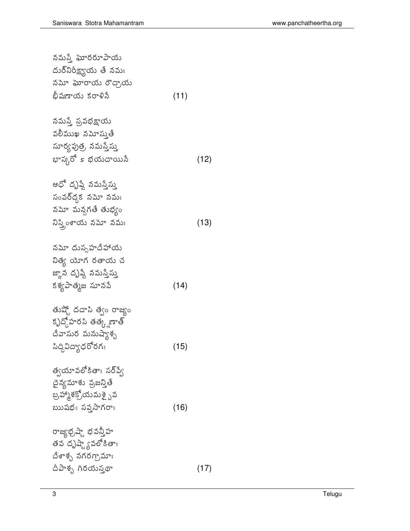| నమస్తే ఘోరరూపాయ                                   |      |      |
|---------------------------------------------------|------|------|
| దుర్ <sup>నిరీ</sup> క్ష్యాయ తే నమ <mark>ః</mark> |      |      |
| నమో ఘోరాయ రౌద్రాయ                                 |      |      |
| భీషణాయ కరాళిసే                                    | (11) |      |
|                                                   |      |      |
| నమస్తే ప్రవభక్షాయ                                 |      |      |
| వలీముఖ నమోస్తుతే                                  |      |      |
| సూర్యపుత్ర, నమస్తేస్తు                            |      |      |
| భాస్కరో <i>s భయదాయి</i> నే                        |      | (12) |
|                                                   |      |      |
| అధో దృష్టే నమస్తేస్తు                             |      |      |
| సంవర్ద్గక నమో నమః                                 |      |      |
| నమో మన్దగతే తుభ్యం                                |      |      |
| నిస్త్రింశాయ నమో నమః                              |      | (13) |
|                                                   |      |      |
| నమో దుస్సహదేహాయ                                   |      |      |
| నిత్య యో <mark>గ రతాయ చ</mark>                    |      |      |
| జ్ఞాన దృష్టే నమస్తే <mark>స్తు</mark>             |      |      |
| కశ్యపాత్మజ సూనపే                                  | (14) |      |
|                                                   |      |      |
| తుష్టో దదాసి త్వం రాజ్యం                          |      |      |
| కృద్దోహరసి తత్క్షణాత్                             |      |      |
| దేవాసుర మనుష్యాశ్చ                                |      |      |
| సిద్ధివిద్యాధరోరగః                                | (15) |      |
|                                                   |      |      |
| త్వయావలోకితాః సర్ప్వే                             |      |      |
| దైన్యమాశు వ్రజన్తితే                              |      |      |
| బ్రహ్మాశక్రోయమశై్వవ                               |      |      |
| ఋషభః సప్తసాగరాః                                   | (16) |      |
|                                                   |      |      |
| రాజ్యభ్రమ్మే భవన్తిహ                              |      |      |
| తవ దృష్ణ్యేపలోకితాః                               |      |      |
| దేశాశ్చ నగరగ్రామాః                                |      |      |
| దీపాశ్చ గిరయప్తథా                                 |      | (17) |
|                                                   |      |      |